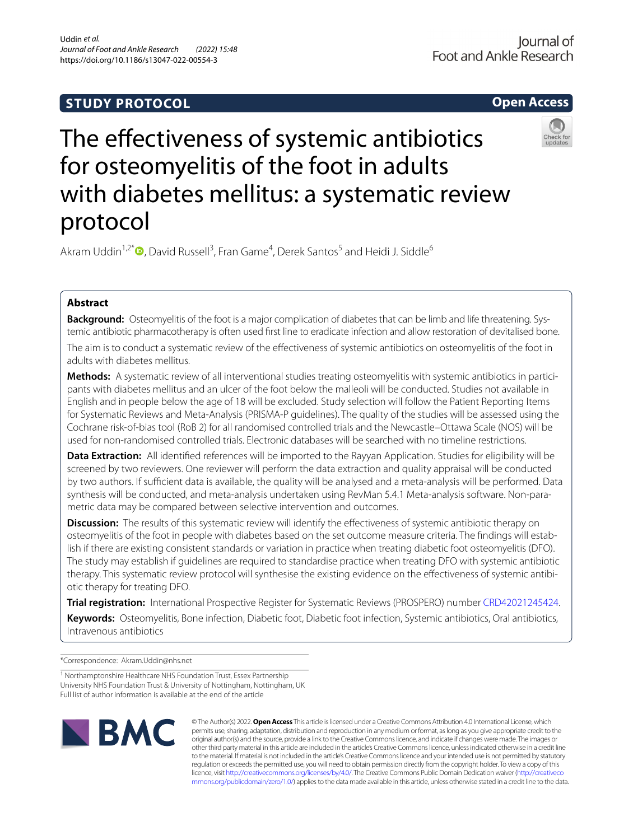# **STUDY PROTOCOL**





Akram Uddin<sup>1,2[\\*](http://orcid.org/0000-0001-7780-1760)</sup><sup>O</sup>, David Russell<sup>3</sup>, Fran Game<sup>4</sup>, Derek Santos<sup>5</sup> and Heidi J. Siddle<sup>6</sup>

# **Abstract**

**Background:** Osteomyelitis of the foot is a major complication of diabetes that can be limb and life threatening. Systemic antibiotic pharmacotherapy is often used frst line to eradicate infection and allow restoration of devitalised bone.

The aim is to conduct a systematic review of the efectiveness of systemic antibiotics on osteomyelitis of the foot in adults with diabetes mellitus.

**Methods:** A systematic review of all interventional studies treating osteomyelitis with systemic antibiotics in participants with diabetes mellitus and an ulcer of the foot below the malleoli will be conducted. Studies not available in English and in people below the age of 18 will be excluded. Study selection will follow the Patient Reporting Items for Systematic Reviews and Meta-Analysis (PRISMA-P guidelines). The quality of the studies will be assessed using the Cochrane risk-of-bias tool (RoB 2) for all randomised controlled trials and the Newcastle–Ottawa Scale (NOS) will be used for non-randomised controlled trials. Electronic databases will be searched with no timeline restrictions.

**Data Extraction:** All identifed references will be imported to the Rayyan Application. Studies for eligibility will be screened by two reviewers. One reviewer will perform the data extraction and quality appraisal will be conducted by two authors. If sufficient data is available, the quality will be analysed and a meta-analysis will be performed. Data synthesis will be conducted, and meta-analysis undertaken using RevMan 5.4.1 Meta-analysis software. Non-parametric data may be compared between selective intervention and outcomes.

**Discussion:** The results of this systematic review will identify the effectiveness of systemic antibiotic therapy on osteomyelitis of the foot in people with diabetes based on the set outcome measure criteria. The fndings will establish if there are existing consistent standards or variation in practice when treating diabetic foot osteomyelitis (DFO). The study may establish if guidelines are required to standardise practice when treating DFO with systemic antibiotic therapy. This systematic review protocol will synthesise the existing evidence on the efectiveness of systemic antibiotic therapy for treating DFO.

**Trial registration:** International Prospective Register for Systematic Reviews (PROSPERO) number [CRD42021245424.](https://www.crd.york.ac.uk/prospero/display_record.php?ID=CRD42021245424) **Keywords:** Osteomyelitis, Bone infection, Diabetic foot, Diabetic foot infection, Systemic antibiotics, Oral antibiotics, Intravenous antibiotics

\*Correspondence: Akram.Uddin@nhs.net

<sup>&</sup>lt;sup>1</sup> Northamptonshire Healthcare NHS Foundation Trust, Essex Partnership University NHS Foundation Trust & University of Nottingham, Nottingham, UK Full list of author information is available at the end of the article



© The Author(s) 2022. **Open Access** This article is licensed under a Creative Commons Attribution 4.0 International License, which permits use, sharing, adaptation, distribution and reproduction in any medium or format, as long as you give appropriate credit to the original author(s) and the source, provide a link to the Creative Commons licence, and indicate if changes were made. The images or other third party material in this article are included in the article's Creative Commons licence, unless indicated otherwise in a credit line to the material. If material is not included in the article's Creative Commons licence and your intended use is not permitted by statutory regulation or exceeds the permitted use, you will need to obtain permission directly from the copyright holder. To view a copy of this licence, visit [http://creativecommons.org/licenses/by/4.0/.](http://creativecommons.org/licenses/by/4.0/) The Creative Commons Public Domain Dedication waiver ([http://creativeco](http://creativecommons.org/publicdomain/zero/1.0/) [mmons.org/publicdomain/zero/1.0/](http://creativecommons.org/publicdomain/zero/1.0/)) applies to the data made available in this article, unless otherwise stated in a credit line to the data.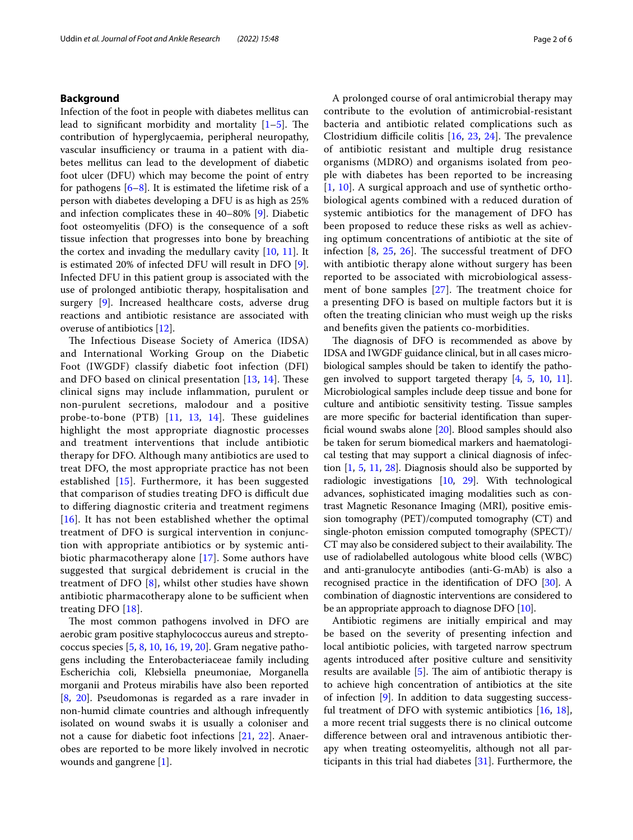## **Background**

Infection of the foot in people with diabetes mellitus can lead to significant morbidity and mortality  $[1-5]$  $[1-5]$ . The contribution of hyperglycaemia, peripheral neuropathy, vascular insufficiency or trauma in a patient with diabetes mellitus can lead to the development of diabetic foot ulcer (DFU) which may become the point of entry for pathogens  $[6-8]$  $[6-8]$ . It is estimated the lifetime risk of a person with diabetes developing a DFU is as high as 25% and infection complicates these in 40–80% [\[9](#page-4-4)]. Diabetic foot osteomyelitis (DFO) is the consequence of a soft tissue infection that progresses into bone by breaching the cortex and invading the medullary cavity [\[10](#page-4-5), [11\]](#page-4-6). It is estimated 20% of infected DFU will result in DFO [\[9](#page-4-4)]. Infected DFU in this patient group is associated with the use of prolonged antibiotic therapy, hospitalisation and surgery [\[9](#page-4-4)]. Increased healthcare costs, adverse drug reactions and antibiotic resistance are associated with overuse of antibiotics [\[12](#page-4-7)].

The Infectious Disease Society of America (IDSA) and International Working Group on the Diabetic Foot (IWGDF) classify diabetic foot infection (DFI) and DFO based on clinical presentation  $[13, 14]$  $[13, 14]$  $[13, 14]$ . These clinical signs may include infammation, purulent or non-purulent secretions, malodour and a positive probe-to-bone (PTB) [[11](#page-4-6), [13,](#page-5-0) [14\]](#page-5-1). These guidelines highlight the most appropriate diagnostic processes and treatment interventions that include antibiotic therapy for DFO. Although many antibiotics are used to treat DFO, the most appropriate practice has not been established [[15](#page-5-2)]. Furthermore, it has been suggested that comparison of studies treating DFO is difficult due to difering diagnostic criteria and treatment regimens [[16](#page-5-3)]. It has not been established whether the optimal treatment of DFO is surgical intervention in conjunction with appropriate antibiotics or by systemic antibiotic pharmacotherapy alone [[17\]](#page-5-4). Some authors have suggested that surgical debridement is crucial in the treatment of DFO [[8\]](#page-4-3), whilst other studies have shown antibiotic pharmacotherapy alone to be sufficient when treating DFO [[18\]](#page-5-5).

The most common pathogens involved in DFO are aerobic gram positive staphylococcus aureus and streptococcus species [\[5](#page-4-1), [8,](#page-4-3) [10](#page-4-5), [16,](#page-5-3) [19](#page-5-6), [20](#page-5-7)]. Gram negative pathogens including the Enterobacteriaceae family including Escherichia coli, Klebsiella pneumoniae, Morganella morganii and Proteus mirabilis have also been reported [[8,](#page-4-3) [20](#page-5-7)]. Pseudomonas is regarded as a rare invader in non-humid climate countries and although infrequently isolated on wound swabs it is usually a coloniser and not a cause for diabetic foot infections [\[21](#page-5-8), [22](#page-5-9)]. Anaerobes are reported to be more likely involved in necrotic wounds and gangrene [[1](#page-4-0)].

A prolonged course of oral antimicrobial therapy may contribute to the evolution of antimicrobial-resistant bacteria and antibiotic related complications such as Clostridium difficile colitis  $[16, 23, 24]$  $[16, 23, 24]$  $[16, 23, 24]$  $[16, 23, 24]$  $[16, 23, 24]$  $[16, 23, 24]$ . The prevalence of antibiotic resistant and multiple drug resistance organisms (MDRO) and organisms isolated from people with diabetes has been reported to be increasing [[1](#page-4-0), [10](#page-4-5)]. A surgical approach and use of synthetic orthobiological agents combined with a reduced duration of systemic antibiotics for the management of DFO has been proposed to reduce these risks as well as achieving optimum concentrations of antibiotic at the site of infection  $[8, 25, 26]$  $[8, 25, 26]$  $[8, 25, 26]$  $[8, 25, 26]$  $[8, 25, 26]$ . The successful treatment of DFO with antibiotic therapy alone without surgery has been reported to be associated with microbiological assessment of bone samples  $[27]$  $[27]$ . The treatment choice for a presenting DFO is based on multiple factors but it is often the treating clinician who must weigh up the risks and benefts given the patients co-morbidities.

The diagnosis of DFO is recommended as above by IDSA and IWGDF guidance clinical, but in all cases microbiological samples should be taken to identify the pathogen involved to support targeted therapy [[4,](#page-4-8) [5,](#page-4-1) [10](#page-4-5), [11](#page-4-6)]. Microbiological samples include deep tissue and bone for culture and antibiotic sensitivity testing. Tissue samples are more specifc for bacterial identifcation than superfcial wound swabs alone [[20](#page-5-7)]. Blood samples should also be taken for serum biomedical markers and haematological testing that may support a clinical diagnosis of infection [\[1,](#page-4-0) [5](#page-4-1), [11](#page-4-6), [28](#page-5-15)]. Diagnosis should also be supported by radiologic investigations [[10](#page-4-5), [29](#page-5-16)]. With technological advances, sophisticated imaging modalities such as contrast Magnetic Resonance Imaging (MRI), positive emission tomography (PET)/computed tomography (CT) and single-photon emission computed tomography (SPECT)/ CT may also be considered subject to their availability. The use of radiolabelled autologous white blood cells (WBC) and anti-granulocyte antibodies (anti-G-mAb) is also a recognised practice in the identifcation of DFO [[30](#page-5-17)]. A combination of diagnostic interventions are considered to be an appropriate approach to diagnose DFO [[10](#page-4-5)].

Antibiotic regimens are initially empirical and may be based on the severity of presenting infection and local antibiotic policies, with targeted narrow spectrum agents introduced after positive culture and sensitivity results are available  $[5]$  $[5]$ . The aim of antibiotic therapy is to achieve high concentration of antibiotics at the site of infection [\[9](#page-4-4)]. In addition to data suggesting successful treatment of DFO with systemic antibiotics [[16,](#page-5-3) [18](#page-5-5)], a more recent trial suggests there is no clinical outcome diference between oral and intravenous antibiotic therapy when treating osteomyelitis, although not all participants in this trial had diabetes  $[31]$  $[31]$  $[31]$ . Furthermore, the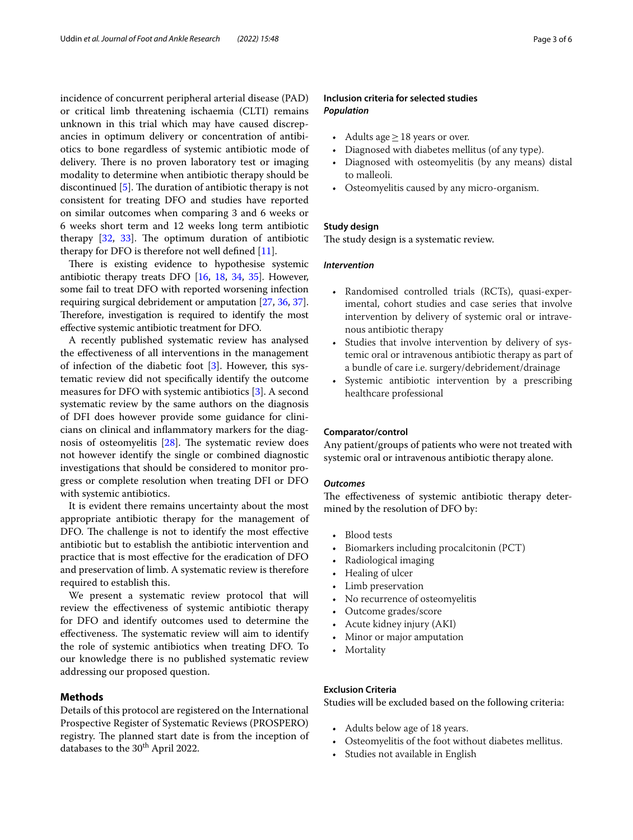incidence of concurrent peripheral arterial disease (PAD) or critical limb threatening ischaemia (CLTI) remains unknown in this trial which may have caused discrepancies in optimum delivery or concentration of antibiotics to bone regardless of systemic antibiotic mode of delivery. There is no proven laboratory test or imaging modality to determine when antibiotic therapy should be discontinued  $[5]$  $[5]$ . The duration of antibiotic therapy is not consistent for treating DFO and studies have reported on similar outcomes when comparing 3 and 6 weeks or 6 weeks short term and 12 weeks long term antibiotic therapy  $[32, 33]$  $[32, 33]$  $[32, 33]$  $[32, 33]$ . The optimum duration of antibiotic therapy for DFO is therefore not well defned [[11\]](#page-4-6).

There is existing evidence to hypothesise systemic antibiotic therapy treats DFO [\[16](#page-5-3), [18,](#page-5-5) [34,](#page-5-21) [35](#page-5-22)]. However, some fail to treat DFO with reported worsening infection requiring surgical debridement or amputation [\[27,](#page-5-14) [36,](#page-5-23) [37](#page-5-24)]. Therefore, investigation is required to identify the most efective systemic antibiotic treatment for DFO.

A recently published systematic review has analysed the efectiveness of all interventions in the management of infection of the diabetic foot [[3\]](#page-4-9). However, this systematic review did not specifcally identify the outcome measures for DFO with systemic antibiotics [\[3\]](#page-4-9). A second systematic review by the same authors on the diagnosis of DFI does however provide some guidance for clinicians on clinical and infammatory markers for the diagnosis of osteomyelitis  $[28]$  $[28]$ . The systematic review does not however identify the single or combined diagnostic investigations that should be considered to monitor progress or complete resolution when treating DFI or DFO with systemic antibiotics.

It is evident there remains uncertainty about the most appropriate antibiotic therapy for the management of DFO. The challenge is not to identify the most effective antibiotic but to establish the antibiotic intervention and practice that is most efective for the eradication of DFO and preservation of limb. A systematic review is therefore required to establish this.

We present a systematic review protocol that will review the efectiveness of systemic antibiotic therapy for DFO and identify outcomes used to determine the effectiveness. The systematic review will aim to identify the role of systemic antibiotics when treating DFO. To our knowledge there is no published systematic review addressing our proposed question.

# **Methods**

Details of this protocol are registered on the International Prospective Register of Systematic Reviews (PROSPERO) registry. The planned start date is from the inception of databases to the 30<sup>th</sup> April 2022.

# **Inclusion criteria for selected studies** *Population*

- Adults age  $\geq$  18 years or over.
- Diagnosed with diabetes mellitus (of any type).
- Diagnosed with osteomyelitis (by any means) distal to malleoli.
- Osteomyelitis caused by any micro-organism.

# **Study design**

The study design is a systematic review.

## *Intervention*

- Randomised controlled trials (RCTs), quasi-experimental, cohort studies and case series that involve intervention by delivery of systemic oral or intravenous antibiotic therapy
- Studies that involve intervention by delivery of systemic oral or intravenous antibiotic therapy as part of a bundle of care i.e. surgery/debridement/drainage
- Systemic antibiotic intervention by a prescribing healthcare professional

#### **Comparator/control**

Any patient/groups of patients who were not treated with systemic oral or intravenous antibiotic therapy alone.

#### *Outcomes*

The effectiveness of systemic antibiotic therapy determined by the resolution of DFO by:

- Blood tests
- Biomarkers including procalcitonin (PCT)
- Radiological imaging
- Healing of ulcer
- Limb preservation
- No recurrence of osteomyelitis
- Outcome grades/score
- Acute kidney injury (AKI)
- Minor or major amputation
- **Mortality**

## **Exclusion Criteria**

Studies will be excluded based on the following criteria:

- Adults below age of 18 years.
- Osteomyelitis of the foot without diabetes mellitus.
- Studies not available in English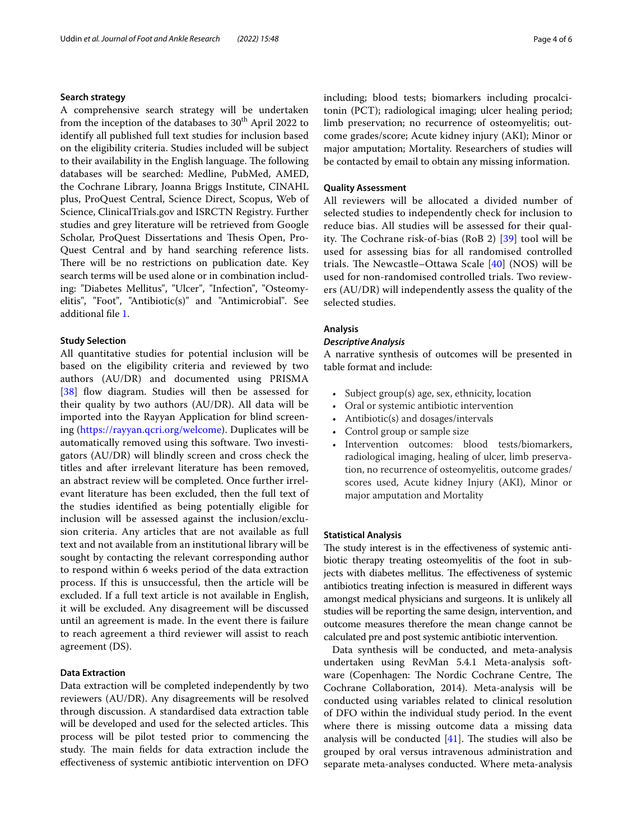## **Search strategy**

A comprehensive search strategy will be undertaken from the inception of the databases to  $30<sup>th</sup>$  April 2022 to identify all published full text studies for inclusion based on the eligibility criteria. Studies included will be subject to their availability in the English language. The following databases will be searched: Medline, PubMed, AMED, the Cochrane Library, Joanna Briggs Institute, CINAHL plus, ProQuest Central, Science Direct, Scopus, Web of Science, ClinicalTrials.gov and ISRCTN Registry. Further studies and grey literature will be retrieved from Google Scholar, ProQuest Dissertations and Thesis Open, Pro-Quest Central and by hand searching reference lists. There will be no restrictions on publication date. Key search terms will be used alone or in combination including: "Diabetes Mellitus", "Ulcer", "Infection", "Osteomyelitis", "Foot", "Antibiotic(s)" and "Antimicrobial". See additional fle [1.](#page-4-10)

## **Study Selection**

All quantitative studies for potential inclusion will be based on the eligibility criteria and reviewed by two authors (AU/DR) and documented using PRISMA [[38\]](#page-5-25) flow diagram. Studies will then be assessed for their quality by two authors (AU/DR). All data will be imported into the Rayyan Application for blind screening [\(https://rayyan.qcri.org/welcome](https://rayyan.qcri.org/welcome)). Duplicates will be automatically removed using this software. Two investigators (AU/DR) will blindly screen and cross check the titles and after irrelevant literature has been removed, an abstract review will be completed. Once further irrelevant literature has been excluded, then the full text of the studies identifed as being potentially eligible for inclusion will be assessed against the inclusion/exclusion criteria. Any articles that are not available as full text and not available from an institutional library will be sought by contacting the relevant corresponding author to respond within 6 weeks period of the data extraction process. If this is unsuccessful, then the article will be excluded. If a full text article is not available in English, it will be excluded. Any disagreement will be discussed until an agreement is made. In the event there is failure to reach agreement a third reviewer will assist to reach agreement (DS).

# **Data Extraction**

Data extraction will be completed independently by two reviewers (AU/DR). Any disagreements will be resolved through discussion. A standardised data extraction table will be developed and used for the selected articles. This process will be pilot tested prior to commencing the study. The main fields for data extraction include the efectiveness of systemic antibiotic intervention on DFO including; blood tests; biomarkers including procalcitonin (PCT); radiological imaging; ulcer healing period; limb preservation; no recurrence of osteomyelitis; outcome grades/score; Acute kidney injury (AKI); Minor or major amputation; Mortality. Researchers of studies will be contacted by email to obtain any missing information.

## **Quality Assessment**

All reviewers will be allocated a divided number of selected studies to independently check for inclusion to reduce bias. All studies will be assessed for their qual-ity. The Cochrane risk-of-bias (RoB 2) [[39\]](#page-5-26) tool will be used for assessing bias for all randomised controlled trials. The Newcastle–Ottawa Scale  $[40]$  $[40]$  (NOS) will be used for non-randomised controlled trials. Two reviewers (AU/DR) will independently assess the quality of the selected studies.

# **Analysis**

#### *Descriptive Analysis*

A narrative synthesis of outcomes will be presented in table format and include:

- Subject group(s) age, sex, ethnicity, location
- Oral or systemic antibiotic intervention
- Antibiotic(s) and dosages/intervals
- Control group or sample size
- Intervention outcomes: blood tests/biomarkers, radiological imaging, healing of ulcer, limb preservation, no recurrence of osteomyelitis, outcome grades/ scores used, Acute kidney Injury (AKI), Minor or major amputation and Mortality

### **Statistical Analysis**

The study interest is in the effectiveness of systemic antibiotic therapy treating osteomyelitis of the foot in subjects with diabetes mellitus. The effectiveness of systemic antibiotics treating infection is measured in diferent ways amongst medical physicians and surgeons. It is unlikely all studies will be reporting the same design, intervention, and outcome measures therefore the mean change cannot be calculated pre and post systemic antibiotic intervention.

Data synthesis will be conducted, and meta-analysis undertaken using RevMan 5.4.1 Meta-analysis software (Copenhagen: The Nordic Cochrane Centre, The Cochrane Collaboration, 2014). Meta-analysis will be conducted using variables related to clinical resolution of DFO within the individual study period. In the event where there is missing outcome data a missing data analysis will be conducted  $[41]$  $[41]$ . The studies will also be grouped by oral versus intravenous administration and separate meta-analyses conducted. Where meta-analysis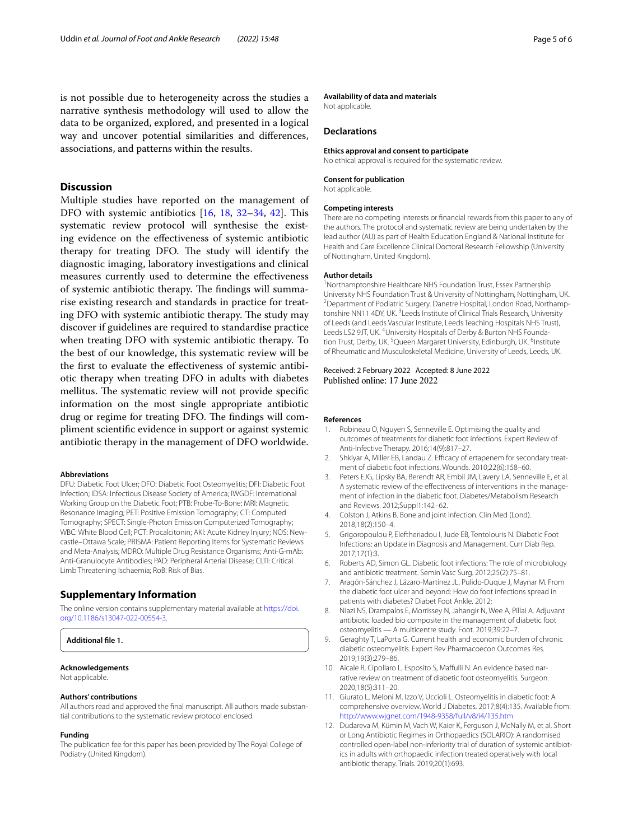is not possible due to heterogeneity across the studies a narrative synthesis methodology will used to allow the data to be organized, explored, and presented in a logical way and uncover potential similarities and diferences, associations, and patterns within the results.

# **Discussion**

Multiple studies have reported on the management of DFO with systemic antibiotics  $[16, 18, 32-34, 42]$  $[16, 18, 32-34, 42]$  $[16, 18, 32-34, 42]$  $[16, 18, 32-34, 42]$  $[16, 18, 32-34, 42]$  $[16, 18, 32-34, 42]$  $[16, 18, 32-34, 42]$  $[16, 18, 32-34, 42]$ . This systematic review protocol will synthesise the existing evidence on the efectiveness of systemic antibiotic therapy for treating DFO. The study will identify the diagnostic imaging, laboratory investigations and clinical measures currently used to determine the efectiveness of systemic antibiotic therapy. The findings will summarise existing research and standards in practice for treating DFO with systemic antibiotic therapy. The study may discover if guidelines are required to standardise practice when treating DFO with systemic antibiotic therapy. To the best of our knowledge, this systematic review will be the frst to evaluate the efectiveness of systemic antibiotic therapy when treating DFO in adults with diabetes mellitus. The systematic review will not provide specific information on the most single appropriate antibiotic drug or regime for treating DFO. The findings will compliment scientifc evidence in support or against systemic antibiotic therapy in the management of DFO worldwide.

#### **Abbreviations**

DFU: Diabetic Foot Ulcer; DFO: Diabetic Foot Osteomyelitis; DFI: Diabetic Foot Infection; IDSA: Infectious Disease Society of America; IWGDF: International Working Group on the Diabetic Foot; PTB: Probe-To-Bone; MRI: Magnetic Resonance Imaging; PET: Positive Emission Tomography; CT: Computed Tomography; SPECT: Single-Photon Emission Computerized Tomography; WBC: White Blood Cell; PCT: Procalcitonin; AKI: Acute Kidney Injury; NOS: Newcastle–Ottawa Scale; PRISMA: Patient Reporting Items for Systematic Reviews and Meta-Analysis; MDRO: Multiple Drug Resistance Organisms; Anti-G-mAb: Anti-Granulocyte Antibodies; PAD: Peripheral Arterial Disease; CLTI: Critical Limb Threatening Ischaemia; RoB: Risk of Bias.

### **Supplementary Information**

The online version contains supplementary material available at [https://doi.](https://doi.org/10.1186/s13047-022-00554-3) [org/10.1186/s13047-022-00554-3](https://doi.org/10.1186/s13047-022-00554-3).

#### <span id="page-4-10"></span>**Additional fle 1.**

# **Acknowledgements**

Not applicable.

#### **Authors' contributions**

All authors read and approved the fnal manuscript. All authors made substantial contributions to the systematic review protocol enclosed.

#### **Funding**

The publication fee for this paper has been provided by The Royal College of Podiatry (United Kingdom).

#### **Availability of data and materials**

Not applicable.

## **Declarations**

#### **Ethics approval and consent to participate**

No ethical approval is required for the systematic review.

#### **Consent for publication**

Not applicable.

#### **Competing interests**

There are no competing interests or fnancial rewards from this paper to any of the authors. The protocol and systematic review are being undertaken by the lead author (AU) as part of Health Education England & National Institute for Health and Care Excellence Clinical Doctoral Research Fellowship (University of Nottingham, United Kingdom).

#### **Author details**

<sup>1</sup> Northamptonshire Healthcare NHS Foundation Trust, Essex Partnership University NHS Foundation Trust & University of Nottingham, Nottingham, UK. 2 <sup>2</sup> Department of Podiatric Surgery. Danetre Hospital, London Road, Northamptonshire NN11 4DY, UK.<sup>3</sup> Leeds Institute of Clinical Trials Research, University of Leeds (and Leeds Vascular Institute, Leeds Teaching Hospitals NHS Trust), Leeds LS2 9JT, UK. <sup>4</sup>University Hospitals of Derby & Burton NHS Foundation Trust, Derby, UK.<sup>5</sup> Queen Margaret University, Edinburgh, UK.<sup>6</sup>Institute of Rheumatic and Musculoskeletal Medicine, University of Leeds, Leeds, UK.

# Received: 2 February 2022 Accepted: 8 June 2022

#### **References**

- <span id="page-4-0"></span>1. Robineau O, Nguyen S, Senneville E. Optimising the quality and outcomes of treatments for diabetic foot infections. Expert Review of Anti-Infective Therapy. 2016;14(9):817–27.
- 2. Shklyar A, Miller EB, Landau Z. Efficacy of ertapenem for secondary treatment of diabetic foot infections. Wounds. 2010;22(6):158–60.
- <span id="page-4-9"></span>3. Peters EJG, Lipsky BA, Berendt AR, Embil JM, Lavery LA, Senneville E, et al. A systematic review of the efectiveness of interventions in the management of infection in the diabetic foot. Diabetes/Metabolism Research and Reviews. 2012;Suppl1:142–62.
- <span id="page-4-8"></span>4. Colston J, Atkins B. Bone and joint infection. Clin Med (Lond). 2018;18(2):150–4.
- <span id="page-4-1"></span>5. Grigoropoulou P, Eleftheriadou I, Jude EB, Tentolouris N. Diabetic Foot Infections: an Update in Diagnosis and Management. Curr Diab Rep. 2017;17(1):3.
- <span id="page-4-2"></span>6. Roberts AD, Simon GL. Diabetic foot infections: The role of microbiology and antibiotic treatment. Semin Vasc Surg. 2012;25(2):75–81.
- 7. Aragón-Sánchez J, Lázaro-Martínez JL, Pulido-Duque J, Maynar M. From the diabetic foot ulcer and beyond: How do foot infections spread in patients with diabetes? Diabet Foot Ankle. 2012;
- <span id="page-4-3"></span>8. Niazi NS, Drampalos E, Morrissey N, Jahangir N, Wee A, Pillai A. Adjuvant antibiotic loaded bio composite in the management of diabetic foot osteomyelitis — A multicentre study. Foot. 2019;39:22–7.
- <span id="page-4-4"></span>9. Geraghty T, LaPorta G. Current health and economic burden of chronic diabetic osteomyelitis. Expert Rev Pharmacoecon Outcomes Res. 2019;19(3):279–86.
- <span id="page-4-5"></span>10. Aicale R, Cipollaro L, Esposito S, Maffulli N. An evidence based narrative review on treatment of diabetic foot osteomyelitis. Surgeon. 2020;18(5):311–20.
- <span id="page-4-6"></span>11. Giurato L, Meloni M, Izzo V, Uccioli L. Osteomyelitis in diabetic foot: A comprehensive overview. World J Diabetes. 2017;8(4):135. Available from: <http://www.wjgnet.com/1948-9358/full/v8/i4/135.htm>
- <span id="page-4-7"></span>12. Dudareva M, Kümin M, Vach W, Kaier K, Ferguson J, McNally M, et al. Short or Long Antibiotic Regimes in Orthopaedics (SOLARIO): A randomised controlled open-label non-inferiority trial of duration of systemic antibiotics in adults with orthopaedic infection treated operatively with local antibiotic therapy. Trials. 2019;20(1):693.